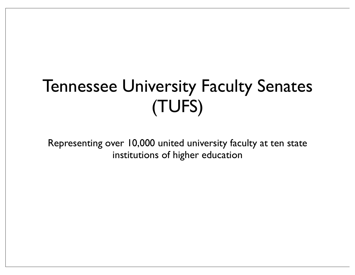#### Tennessee University Faculty Senates (TUFS)

Representing over 10,000 united university faculty at ten state institutions of higher education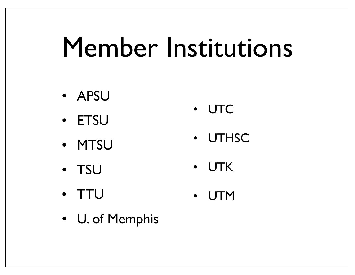## Member Institutions

- APSU
- ETSU
- MTSU
- TSU
- TTU • UTM
- U. of Memphis
- UTC
- UTHSC
- UTK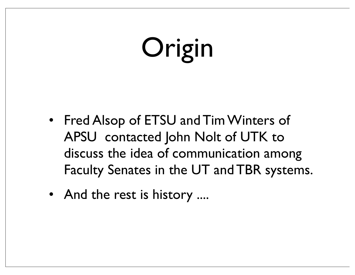# Origin

- Fred Alsop of ETSU and Tim Winters of APSU contacted John Nolt of UTK to discuss the idea of communication among Faculty Senates in the UT and TBR systems.
- And the rest is history ....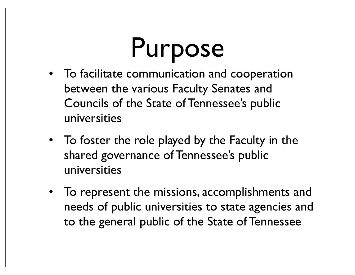# Purpose

- To facilitate communication and cooperation between the various Faculty Senates and Councils of the State of Tennessee's public universities
- To foster the role played by the Faculty in the shared governance of Tennessee's public universities
- To represent the missions, accomplishments and needs of public universities to state agencies and to the general public of the State of Tennessee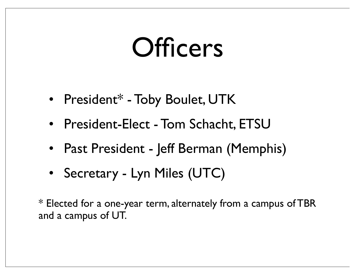### **Officers**

- President\* Toby Boulet, UTK
- President-Elect Tom Schacht, ETSU
- Past President Jeff Berman (Memphis)
- Secretary Lyn Miles (UTC)

\* Elected for a one-year term, alternately from a campus of TBR and a campus of UT.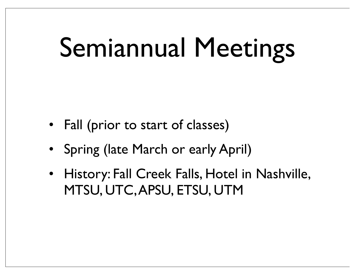## Semiannual Meetings

- Fall (prior to start of classes)
- Spring (late March or early April)
- History: Fall Creek Falls, Hotel in Nashville, MTSU, UTC, APSU, ETSU, UTM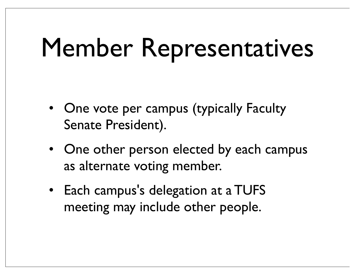## Member Representatives

- One vote per campus (typically Faculty Senate President).
- One other person elected by each campus as alternate voting member.
- Each campus's delegation at a TUFS meeting may include other people.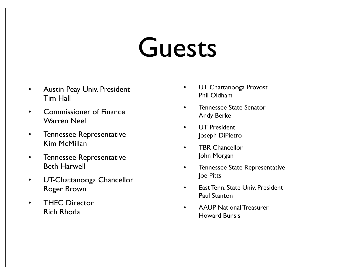#### Guests

- Austin Peay Univ. President Tim Hall
- Commissioner of Finance Warren Neel
- Tennessee Representative Kim McMillan
- Tennessee Representative Beth Harwell
- UT-Chattanooga Chancellor Roger Brown
- THEC Director Rich Rhoda
- UT Chattanooga Provost Phil Oldham
- Tennessee State Senator Andy Berke
- UT President Joseph DiPietro
- TBR Chancellor John Morgan
- Tennessee State Representative Joe Pitts
- East Tenn. State Univ. President Paul Stanton
- AAUP National Treasurer Howard Bunsis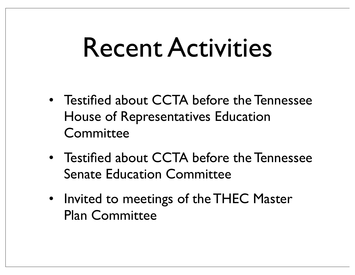### Recent Activities

- Testified about CCTA before the Tennessee House of Representatives Education **Committee**
- Testified about CCTA before the Tennessee Senate Education Committee
- Invited to meetings of the THEC Master Plan Committee